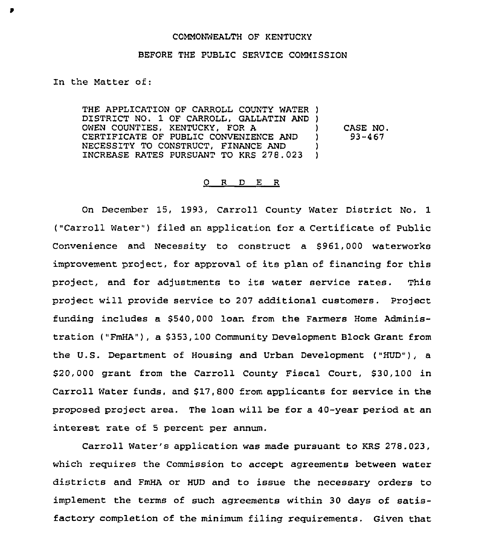### COMMONWEALTH OF KENTUCKY

#### BEFORE THE PUBLIC SERVICE COMMISSION

In the Matter of:

THE APPLICATION OF CARROLL COUNTY WATER ) DISTRICT NO. 1 OF CARROLL, GALLATIN AND ) OWEN COUNTIES, KENTUCKY, FOR A CERTIFICATE OF PUBLIC CONVENIENCE AND NECESSITY TO CONSTRUCT, FINANCE AND INCREASE RATES PURSUANT TO KRS 278.023 ) ) CASE NO.<br>
1 93-467 ) 93-467 )

#### 0 R D E R

On December 15, 1993, Carroll County Water District No. 1 ("Carroll Water") filed an application for a Certificate of Public Convenience and Necessity to construct a \$961,000 waterworks improvement project, for approval of its plan of financing for this project, and for adjustments to its water service rates. This project will provide service to 207 additional customers. Project funding includes a \$540,000 loan from the Farmers Home Administration ("FmHA"), a \$353,100 Community Development Block Grant from the U.S. Department of Housing and Urban Development ("HUD"), a \$20,000 grant from the Carroll County Fiscal Court, \$30,100 in Carroll Water funds, and \$17,800 from applicants for service in the proposed project area. The loan will be for a 40-year period at an interest rate of <sup>5</sup> percent per annum.

Carroll Water's application was made pursuant to KRS 278.023, which requires the Commission to accept agreements between water districts and FmHA or HUD and to issue the necessary orders to implement the terms of such agreements within 30 days of satisfactory completion of the minimum filing requirements. Given that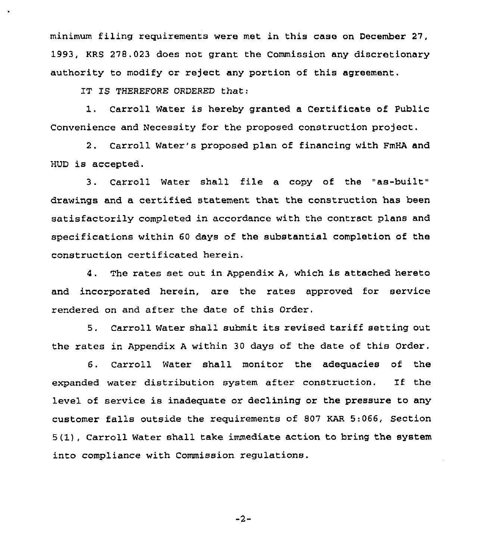minimum filing requirements were met in this case on December 27. 1993, KRS 278.023 does not grant the Commission any discretionary authority to modify or reject any portion of this agreement.

IT IS THEREFORE ORDERED that:

1. Carroll Water is hereby granted <sup>a</sup> Certificate of Public Convenience and Necessity for the proposed construction project.

2. Carroll Water's proposed plan of financing with FmHA and HUD is accepted.

3. Carroll Water shall file a copy of the "as-built" drawings and a certified statement that the construction has been satisfactorily completed in accordance with the contract plans and specifications within 60 days of the substantial completion of the construction certificated herein.

4. The rates set out in Appendix A, which is attached hereto and incorporated herein, are the rates approved for service rendered on and after the date of this Order.

5. Carroll Water shall submit its revised tariff setting out the rates in Appendix <sup>A</sup> within 30 days of the date of this Order.

6. Carroll Water shall monitor the adequacies of the expanded water distribution system after construction. 1f the level of service is inadequate or declining or the pressure to any customer falls outside the requirements of 807 KAR 5:066, Section 5(1), Carroll Water shall take immediate action to bring the system into compliance with Commission regulations.

 $-2-$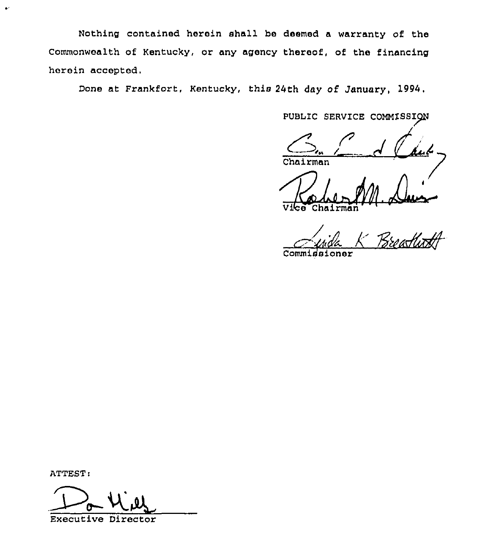Nothing contained herein shall be deemed a warranty of the Commonwealth of Kentucky, or any agency thereof, of the financing herein accegted.

Done at Frankfort, Kentucky, this 24th day of January, 1994.

PUBLIC SERVICE COMMISSION

Chairman

Vibe Chairman

Juide K Breathoff

Commissioner

ATTEST:

 $\bullet$ 

Will

Executive Directo: